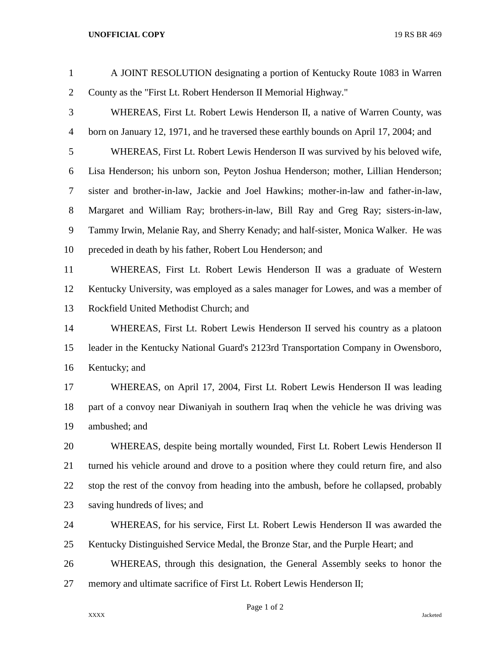## **UNOFFICIAL COPY** 19 RS BR 469

| $\mathbf{1}$   | A JOINT RESOLUTION designating a portion of Kentucky Route 1083 in Warren                |
|----------------|------------------------------------------------------------------------------------------|
| $\overline{2}$ | County as the "First Lt. Robert Henderson II Memorial Highway."                          |
| 3              | WHEREAS, First Lt. Robert Lewis Henderson II, a native of Warren County, was             |
| $\overline{4}$ | born on January 12, 1971, and he traversed these earthly bounds on April 17, 2004; and   |
| 5              | WHEREAS, First Lt. Robert Lewis Henderson II was survived by his beloved wife,           |
| 6              | Lisa Henderson; his unborn son, Peyton Joshua Henderson; mother, Lillian Henderson;      |
| 7              | sister and brother-in-law, Jackie and Joel Hawkins; mother-in-law and father-in-law,     |
| $8\,$          | Margaret and William Ray; brothers-in-law, Bill Ray and Greg Ray; sisters-in-law,        |
| 9              | Tammy Irwin, Melanie Ray, and Sherry Kenady; and half-sister, Monica Walker. He was      |
| 10             | preceded in death by his father, Robert Lou Henderson; and                               |
| 11             | WHEREAS, First Lt. Robert Lewis Henderson II was a graduate of Western                   |
| 12             | Kentucky University, was employed as a sales manager for Lowes, and was a member of      |
| 13             | Rockfield United Methodist Church; and                                                   |
| 14             | WHEREAS, First Lt. Robert Lewis Henderson II served his country as a platoon             |
| 15             | leader in the Kentucky National Guard's 2123rd Transportation Company in Owensboro,      |
| 16             | Kentucky; and                                                                            |
| 17             | WHEREAS, on April 17, 2004, First Lt. Robert Lewis Henderson II was leading              |
| 18             | part of a convoy near Diwaniyah in southern Iraq when the vehicle he was driving was     |
| 19             | ambushed; and                                                                            |
| 20             | WHEREAS, despite being mortally wounded, First Lt. Robert Lewis Henderson II             |
| 21             | turned his vehicle around and drove to a position where they could return fire, and also |
| 22             | stop the rest of the convoy from heading into the ambush, before he collapsed, probably  |
| 23             | saving hundreds of lives; and                                                            |
| 24             | WHEREAS, for his service, First Lt. Robert Lewis Henderson II was awarded the            |
| 25             | Kentucky Distinguished Service Medal, the Bronze Star, and the Purple Heart; and         |
| 26             | WHEREAS, through this designation, the General Assembly seeks to honor the               |
| 27             | memory and ultimate sacrifice of First Lt. Robert Lewis Henderson II;                    |
|                |                                                                                          |

Page 1 of 2